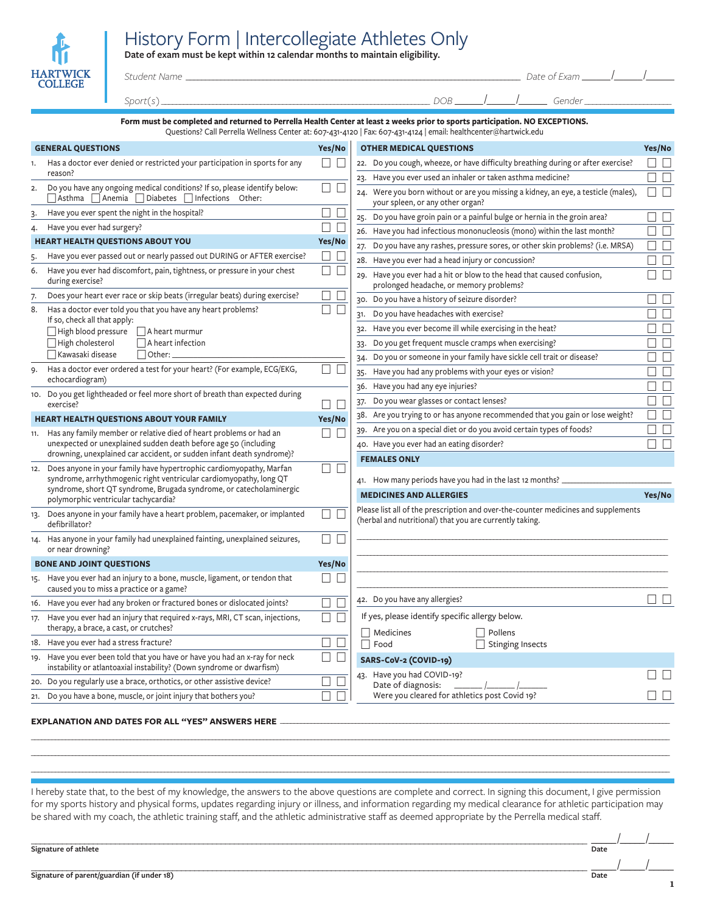## History Form | Intercollegiate Athletes Only

**Date of exam must be kept within 12 calendar months to maintain eligibility.**

| w                                 |  |
|-----------------------------------|--|
| <b>HARTWICK</b><br><b>COLLEGE</b> |  |

## *Student Name* \_\_\_\_\_\_\_\_\_\_\_\_\_\_\_\_\_\_\_\_\_\_\_\_\_\_\_\_\_\_\_\_\_\_\_\_\_\_\_\_\_\_\_\_\_\_\_\_\_\_\_\_\_\_\_\_\_\_\_\_\_\_\_\_\_\_\_\_\_\_\_\_\_\_\_\_\_\_\_\_\_\_\_\_\_\_\_ *Date of Exam* \_\_\_\_\_\_ /

\_\_\_\_\_\_ *Gender \_\_\_\_\_\_\_\_\_\_\_\_\_\_\_\_\_\_\_\_\_\_*

 $\overline{\phantom{a}}$ 

| $\sim$<br>سەب | <b>Contract</b><br>\ 1 1 ( |  | . .    |  |
|---------------|----------------------------|--|--------|--|
|               |                            |  | $\sim$ |  |

| l roturnod to Do |  |
|------------------|--|

**Form must be completed and returned to Perrella Health Center at least 2 weeks prior to sports participation. NO EXCEPTIONS.** Questions? Call Perrella Wellness Center at: 607-431-4120 | Fax: 607-431-4124 | email: healthcenter@hartwick.edu

|     | <b>GENERAL QUESTIONS</b>                                                                                                                                                                                             | Yes/No                                       | <b>OTHER MEDICAL QUESTIONS</b> |                                                                                                                        |                                    |
|-----|----------------------------------------------------------------------------------------------------------------------------------------------------------------------------------------------------------------------|----------------------------------------------|--------------------------------|------------------------------------------------------------------------------------------------------------------------|------------------------------------|
|     | Has a doctor ever denied or restricted your participation in sports for any                                                                                                                                          | $\Box$<br>$\Box$                             |                                | 22. Do you cough, wheeze, or have difficulty breathing during or after exercise?                                       | $\Box$                             |
|     | reason?                                                                                                                                                                                                              |                                              |                                | Have you ever used an inhaler or taken asthma medicine?<br>23.                                                         | $\Box$<br>٦                        |
| 2.  | Do you have any ongoing medical conditions? If so, please identify below:<br>$\Box$ Asthma $\Box$ Anemia $\Box$ Diabetes $\Box$ Infections Other:                                                                    | ⊔<br>∟                                       |                                | 24. Were you born without or are you missing a kidney, an eye, a testicle (males),<br>your spleen, or any other organ? | $\Box$<br>$\Box$                   |
| 3.  | Have you ever spent the night in the hospital?                                                                                                                                                                       | П                                            |                                | 25. Do you have groin pain or a painful bulge or hernia in the groin area?                                             | П                                  |
| 4.  | Have you ever had surgery?                                                                                                                                                                                           | ⊔                                            |                                | 26. Have you had infectious mononucleosis (mono) within the last month?                                                | П                                  |
|     | <b>HEART HEALTH QUESTIONS ABOUT YOU</b>                                                                                                                                                                              | Yes/No                                       |                                | Do you have any rashes, pressure sores, or other skin problems? (i.e. MRSA)<br>27.                                     | $\Box$                             |
|     | Have you ever passed out or nearly passed out DURING or AFTER exercise?                                                                                                                                              | $\vert \ \ \vert$                            |                                | 28. Have you ever had a head injury or concussion?                                                                     | $\Box$                             |
| 6.  | Have you ever had discomfort, pain, tightness, or pressure in your chest<br>during exercise?                                                                                                                         |                                              |                                | Have you ever had a hit or blow to the head that caused confusion,<br>29.<br>prolonged headache, or memory problems?   | $\Box$                             |
| 7.  | Does your heart ever race or skip beats (irregular beats) during exercise?                                                                                                                                           |                                              |                                | 30. Do you have a history of seizure disorder?                                                                         | $\Box$                             |
| 8.  | Has a doctor ever told you that you have any heart problems?                                                                                                                                                         |                                              |                                | Do you have headaches with exercise?<br>31.                                                                            | $\Box$                             |
|     | If so, check all that apply:                                                                                                                                                                                         |                                              |                                | Have you ever become ill while exercising in the heat?<br>32.                                                          | П                                  |
|     | High blood pressure<br>  A heart murmur<br>$\Box$ High cholesterol<br>$\Box$ A heart infection                                                                                                                       |                                              |                                | Do you get frequent muscle cramps when exercising?<br>33.                                                              | $\Box$                             |
|     | Kawasaki disease<br>$\Box$ Other:                                                                                                                                                                                    |                                              |                                | Do you or someone in your family have sickle cell trait or disease?<br>34.                                             | $\Box$                             |
| 9.  | Has a doctor ever ordered a test for your heart? (For example, ECG/EKG,                                                                                                                                              | П<br>$\begin{array}{ccc} \hline \end{array}$ |                                | Have you had any problems with your eyes or vision?<br>$35 -$                                                          | $\Box$                             |
|     | echocardiogram)                                                                                                                                                                                                      |                                              |                                | 36. Have you had any eye injuries?                                                                                     | $\Box$ $\Box$                      |
|     | 10. Do you get lightheaded or feel more short of breath than expected during                                                                                                                                         |                                              |                                | Do you wear glasses or contact lenses?<br>37.                                                                          | □                                  |
|     | exercise?                                                                                                                                                                                                            | ⊔                                            |                                | 38. Are you trying to or has anyone recommended that you gain or lose weight?                                          | □                                  |
|     | <b>HEART HEALTH QUESTIONS ABOUT YOUR FAMILY</b>                                                                                                                                                                      | Yes/No                                       |                                | 39. Are you on a special diet or do you avoid certain types of foods?                                                  | П                                  |
| 11. | Has any family member or relative died of heart problems or had an<br>unexpected or unexplained sudden death before age 50 (including                                                                                |                                              |                                | 40. Have you ever had an eating disorder?                                                                              | $\Box$<br>$\overline{\phantom{a}}$ |
|     | drowning, unexplained car accident, or sudden infant death syndrome)?                                                                                                                                                |                                              |                                | <b>FEMALES ONLY</b>                                                                                                    |                                    |
|     | 12. Does anyone in your family have hypertrophic cardiomyopathy, Marfan<br>syndrome, arrhythmogenic right ventricular cardiomyopathy, long QT<br>syndrome, short QT syndrome, Brugada syndrome, or catecholaminergic |                                              |                                | 41. How many periods have you had in the last 12 months?<br><b>MEDICINES AND ALLERGIES</b>                             | Yes/No                             |
|     | polymorphic ventricular tachycardia?                                                                                                                                                                                 |                                              |                                | Please list all of the prescription and over-the-counter medicines and supplements                                     |                                    |
|     | 13. Does anyone in your family have a heart problem, pacemaker, or implanted<br>defibrillator?                                                                                                                       |                                              |                                | (herbal and nutritional) that you are currently taking.                                                                |                                    |
|     | 14. Has anyone in your family had unexplained fainting, unexplained seizures,<br>or near drowning?                                                                                                                   | $\Box$<br>$\Box$                             |                                |                                                                                                                        |                                    |
|     | <b>BONE AND JOINT QUESTIONS</b>                                                                                                                                                                                      | Yes/No                                       |                                |                                                                                                                        |                                    |
|     | 15. Have you ever had an injury to a bone, muscle, ligament, or tendon that<br>caused you to miss a practice or a game?                                                                                              |                                              |                                |                                                                                                                        |                                    |
|     | 16. Have you ever had any broken or fractured bones or dislocated joints?                                                                                                                                            |                                              |                                | 42. Do you have any allergies?                                                                                         | $\Box$ $\Box$                      |
|     | 17. Have you ever had an injury that required x-rays, MRI, CT scan, injections,<br>therapy, a brace, a cast, or crutches?                                                                                            |                                              |                                | If yes, please identify specific allergy below.<br>Medicines<br>Pollens                                                |                                    |
|     | 18. Have you ever had a stress fracture?                                                                                                                                                                             | $\Box$                                       |                                | $\Box$ Food<br>Stinging Insects                                                                                        |                                    |
|     | 19. Have you ever been told that you have or have you had an x-ray for neck<br>instability or atlantoaxial instability? (Down syndrome or dwarfism)                                                                  |                                              |                                | SARS-CoV-2 (COVID-19)                                                                                                  |                                    |
|     | 20. Do you regularly use a brace, orthotics, or other assistive device?                                                                                                                                              |                                              |                                | 43. Have you had COVID-19?<br>Date of diagnosis:                                                                       |                                    |
|     | 21. Do you have a bone, muscle, or joint injury that bothers you?                                                                                                                                                    |                                              |                                | Were you cleared for athletics post Covid 19?                                                                          |                                    |
|     | <b>EXPLANATION AND DATES FOR ALL "YES" ANSWERS HERE</b>                                                                                                                                                              |                                              |                                |                                                                                                                        |                                    |

I hereby state that, to the best of my knowledge, the answers to the above questions are complete and correct. In signing this document, I give permission for my sports history and physical forms, updates regarding injury or illness, and information regarding my medical clearance for athletic participation may be shared with my coach, the athletic training staff, and the athletic administrative staff as deemed appropriate by the Perrella medical staff.

\_\_\_\_\_\_\_\_\_\_\_\_\_\_\_\_\_\_\_\_\_\_\_\_\_\_\_\_\_\_\_\_\_\_\_\_\_\_\_\_\_\_\_\_\_\_\_\_\_\_\_\_\_\_\_\_\_\_\_\_\_\_\_\_\_\_\_\_\_\_\_\_\_\_\_\_\_\_\_\_\_\_\_\_\_\_\_\_\_\_\_\_\_\_\_\_\_\_\_\_\_\_\_\_\_\_\_\_\_\_\_\_\_\_\_\_\_\_\_\_\_\_\_\_\_\_\_\_\_\_\_\_\_\_\_\_\_\_\_\_\_\_\_\_\_\_\_\_\_\_\_\_\_\_\_\_\_\_\_\_\_\_\_\_\_\_\_\_\_\_\_\_\_\_\_\_\_\_\_\_\_\_\_\_\_\_\_ \_\_\_\_\_\_\_\_\_\_\_\_\_\_\_\_\_\_\_\_\_\_\_\_\_\_\_\_\_\_\_\_\_\_\_\_\_\_\_\_\_\_\_\_\_\_\_\_\_\_\_\_\_\_\_\_\_\_\_\_\_\_\_\_\_\_\_\_\_\_\_\_\_\_\_\_\_\_\_\_\_\_\_\_\_\_\_\_\_\_\_\_\_\_\_\_\_\_\_\_\_\_\_\_\_\_\_\_\_\_\_\_\_\_\_\_\_\_\_\_\_\_\_\_\_\_\_\_\_\_\_\_\_\_\_\_\_\_\_\_\_\_\_\_\_\_\_\_\_\_\_\_\_\_\_\_\_\_\_\_\_\_\_\_\_\_\_\_\_\_\_\_\_\_\_\_\_\_\_\_\_\_\_\_\_\_\_ \_\_\_\_\_\_\_\_\_\_\_\_\_\_\_\_\_\_\_\_\_\_\_\_\_\_\_\_\_\_\_\_\_\_\_\_\_\_\_\_\_\_\_\_\_\_\_\_\_\_\_\_\_\_\_\_\_\_\_\_\_\_\_\_\_\_\_\_\_\_\_\_\_\_\_\_\_\_\_\_\_\_\_\_\_\_\_\_\_\_\_\_\_\_\_\_\_\_\_\_\_\_\_\_\_\_\_\_\_\_\_\_\_\_\_\_\_\_\_\_\_\_\_\_\_\_\_\_\_\_\_\_\_\_\_\_\_\_\_\_\_\_\_\_\_\_\_\_\_\_\_\_\_\_\_\_\_\_\_\_\_\_\_\_\_\_\_\_\_\_\_\_\_\_\_\_\_\_\_\_\_\_\_\_\_\_\_

\_\_\_\_\_\_\_\_\_\_\_\_\_\_\_\_\_\_\_\_\_\_\_\_\_\_\_\_\_\_\_\_\_\_\_\_\_\_\_\_\_\_\_\_\_\_\_\_\_\_\_\_\_\_\_\_\_\_\_\_\_\_\_\_\_\_\_\_\_\_\_\_\_\_\_\_\_\_\_\_\_\_\_\_\_\_\_\_\_\_\_\_\_\_\_\_\_\_\_\_\_\_\_\_\_\_\_\_\_\_\_\_\_\_\_\_\_\_\_\_\_\_\_\_\_\_ \_\_\_\_\_ /\_\_\_\_\_ /\_\_\_\_\_ **Signature of athlete Date**